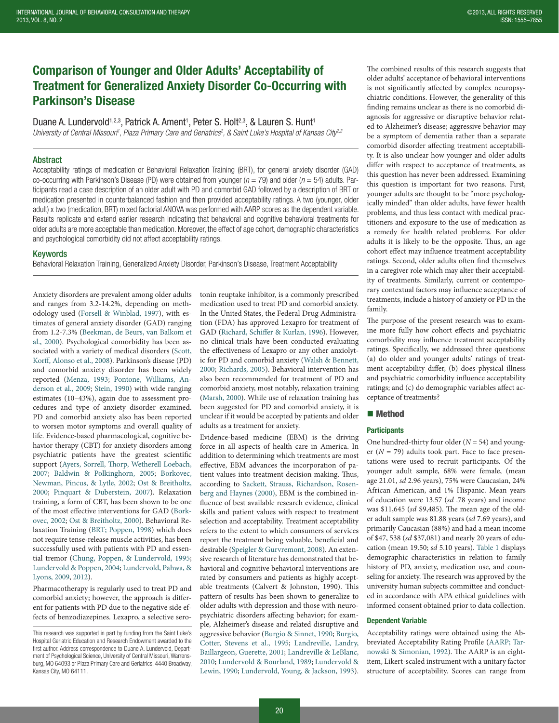# Comparison of Younger and Older Adults' Acceptability of Treatment for Generalized Anxiety Disorder Co-Occurring with Parkinson's Disease

Duane A. Lundervold<sup>1,2,3</sup>, Patrick A. Ament<sup>1</sup>, Peter S. Holt<sup>2,3</sup>, & Lauren S. Hunt<sup>1</sup> *University of Central Missouri1 , Plaza Primary Care and Geriatrics2 , & Saint Luke's Hospital of Kansas City2,3*

# Abstract

Acceptability ratings of medication or Behavioral Relaxation Training (BRT), for general anxiety disorder (GAD) co-occurring with Parkinson's Disease (PD) were obtained from younger (*n* = 79) and older (*n* = 54) adults. Participants read a case description of an older adult with PD and comorbid GAD followed by a description of BRT or medication presented in counterbalanced fashion and then provided acceptability ratings. A two (younger, older adult) x two (medication, BRT) mixed factorial ANOVA was performed with AARP scores as the dependent variable. Results replicate and extend earlier research indicating that behavioral and cognitive behavioral treatments for older adults are more acceptable than medication. Moreover, the effect of age cohort, demographic characteristics and psychological comorbidity did not affect acceptability ratings.

### Keywords

Behavioral Relaxation Training, Generalized Anxiety Disorder, Parkinson's Disease, Treatment Acceptability

Anxiety disorders are prevalent among older adults and ranges from 3.2-14.2%, depending on meth-odology used ([Forsell & Winblad, 1997](#page-2-0)), with estimates of general anxiety disorder (GAD) ranging from 1.2-7.3% [\(Beekman, de Beurs, van Balkom et](#page-2-1)  [al., 2000\)](#page-2-1). Psychological comorbidity has been associated with a variety of medical disorders ([Scott,](#page-2-2) [Korff, Alonso et al., 2008](#page-2-2)). Parkinson's disease (PD) and comorbid anxiety disorder has been widely reported (Menza, 1993; Pontone, Williams, An[derson et al., 2009](#page-2-3); [Stein, 1990\)](#page-2-4) with wide ranging estimates (10–43%), again due to assessment procedures and type of anxiety disorder examined. PD and comorbid anxiety also has been reported to worsen motor symptoms and overall quality of life. Evidence-based pharmacological, cognitive behavior therapy (CBT) for anxiety disorders among psychiatric patients have the greatest scientific support ([Ayers, Sorrell, Thorp, Wetherell Loebach,](#page-2-5) [2007](#page-2-5); [Baldwin & Polkinghorn, 2005](#page-2-6); [Borkovec,](#page-2-7) [Newman, Pincus, & Lytle, 2002;](#page-2-7) [Ost & Breitholtz,](#page-2-8) [2000](#page-2-8); [Pinquart & Duberstein, 2007](#page-2-9)). Relaxation training, a form of CBT, has been shown to be one of the most effective interventions for GAD (Bork[ovec, 2002;](#page-2-7) [Ost & Breitholtz, 2000](#page-2-8)). Behavioral Re‑ laxation Training [\(BRT; Poppen, 1998\)](#page-2-10) which does not require tense-release muscle activities, has been successfully used with patients with PD and essential tremor [\(Chung, Poppen, & Lundervold, 1995](#page-2-11); [Lundervold & Poppen, 2004](#page-2-12); [Lundervold, Pahwa, &](#page-2-13)  [Lyons, 2009](#page-2-13), 2012).

Pharmacotherapy is regularly used to treat PD and comorbid anxiety; however, the approach is different for patients with PD due to the negative side effects of benzodiazepines. Lexapro, a selective serotonin reuptake inhibitor, is a commonly prescribed medication used to treat PD and comorbid anxiety. In the United States, the Federal Drug Administration (FDA) has approved Lexapro for treatment of GAD (Richard, Schiffer & Kurlan, 1996). However, no clinical trials have been conducted evaluating the effectiveness of Lexapro or any other anxiolytic for PD and comorbid anxiety (Walsh & Bennett, 2000; Richards, 2005). Behavioral intervention has also been recommended for treatment of PD and comorbid anxiety, most notably, relaxation training (Marsh, 2000). While use of relaxation training has been suggested for PD and comorbid anxiety, it is unclear if it would be accepted by patients and older adults as a treatment for anxiety.

Evidence-based medicine (EBM) is the driving force in all aspects of health care in America. In addition to determining which treatments are most effective, EBM advances the incorporation of patient values into treatment decision making. Thus, according to Sackett, Strauss, Richardson, Rosen[berg and Haynes \(2000\)](#page-2-14), EBM is the combined influence of best available research evidence, clinical skills and patient values with respect to treatment selection and acceptability. Treatment acceptability refers to the extent to which consumers of services report the treatment being valuable, beneficial and desirable ([Speigler & Gurvremont, 2008\)](#page-2-15). An extensive research of literature has demonstrated that behavioral and cognitive behavioral interventions are rated by consumers and patients as highly acceptable treatments (Calvert & Johnston, 1990). This pattern of results has been shown to generalize to older adults with depression and those with neuropsychiatric disorders affecting behavior; for example, Alzheimer's disease and related disruptive and aggressive behavior ([Burgio & Sinnet, 1990](#page-2-16); [Burgio,](#page-2-17) [Cotter, Stevens et al., 1995](#page-2-17); Landreville, Landry, Baillargeon, Guerette, 2001; Landreville & LeBlanc, 2010; Lundervold & Bourland, 1989; Lundervold & Lewin, 1990; Lundervold, Young, & Jackson, 1993).

The combined results of this research suggests that older adults' acceptance of behavioral interventions is not significantly affected by complex neuropsychiatric conditions. However, the generality of this finding remains unclear as there is no comorbid diagnosis for aggressive or disruptive behavior related to Alzheimer's disease; aggressive behavior may be a symptom of dementia rather than a separate comorbid disorder affecting treatment acceptability. It is also unclear how younger and older adults differ with respect to acceptance of treatments, as this question has never been addressed. Examining this question is important for two reasons. First, younger adults are thought to be "more psychologically minded" than older adults, have fewer health problems, and thus less contact with medical practitioners and exposure to the use of medication as a remedy for health related problems. For older adults it is likely to be the opposite. Thus, an age cohort effect may influence treatment acceptability ratings. Second, older adults often find themselves in a caregiver role which may alter their acceptability of treatments. Similarly, current or contemporary contextual factors may influence acceptance of treatments, include a history of anxiety or PD in the family.

The purpose of the present research was to examine more fully how cohort effects and psychiatric comorbidity may influence treatment acceptability ratings. Specifically, we addressed three questions: (a) do older and younger adults' ratings of treatment acceptability differ, (b) does physical illness and psychiatric comorbidity influence acceptability ratings; and (c) do demographic variables affect acceptance of treatments?

# ■ Method

## **Participants**

One hundred-thirty four older  $(N = 54)$  and younger ( $N = 79$ ) adults took part. Face to face presentations were used to recruit participants. Of the younger adult sample, 68% were female, (mean age 21.01, *sd* 2.96 years), 75% were Caucasian, 24% African American, and 1% Hispanic. Mean years of education were 13.57 (*sd* .78 years) and income was \$11,645 (sd \$9,485). The mean age of the older adult sample was 81.88 years (*sd* 7.69 years), and primarily Caucasian (88%) and had a mean income of \$47, 538 (sd \$37,081) and nearly 20 years of education (mean 19.50; *sd* 5.10 years). [Table 1](#page-1-0) displays demographic characteristics in relation to family history of PD, anxiety, medication use, and counseling for anxiety. The research was approved by the university human subjects committee and conducted in accordance with APA ethical guidelines with informed consent obtained prior to data collection.

#### Dependent Variable

Acceptability ratings were obtained using the Abbreviated Acceptability Rating Profile (AARP; Tar[nowski & Simonian, 1992\)](#page-2-18). The AARP is an eightitem, Likert-scaled instrument with a unitary factor structure of acceptability. Scores can range from

This research was supported in part by funding from the Saint Luke's Hospital Geriatric Education and Research Endowment awarded to the first author. Address correspondence to Duane A. Lundervold, Department of Psychological Science, University of Central Missouri, Warrensburg, MO 64093 or Plaza Primary Care and Geriatrics, 4440 Broadway, Kansas City, MO 64111.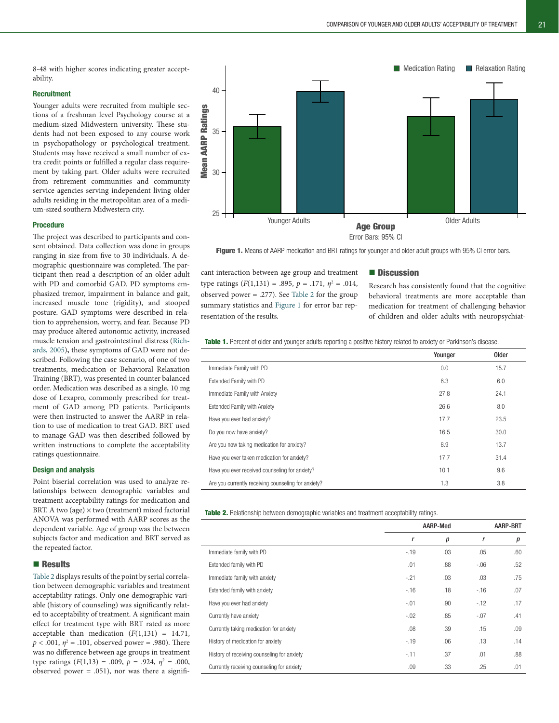8-48 with higher scores indicating greater acceptability.

# **Recruitment**

Younger adults were recruited from multiple sections of a freshman level Psychology course at a medium-sized Midwestern university. These students had not been exposed to any course work in psychopathology or psychological treatment. Students may have received a small number of extra credit points or fulfilled a regular class requirement by taking part. Older adults were recruited from retirement communities and community service agencies serving independent living older adults residing in the metropolitan area of a medium-sized southern Midwestern city.

#### Procedure

The project was described to participants and consent obtained. Data collection was done in groups ranging in size from five to 30 individuals. A demographic questionnaire was completed. The participant then read a description of an older adult with PD and comorbid GAD. PD symptoms emphasized tremor, impairment in balance and gait, increased muscle tone (rigidity), and stooped posture. GAD symptoms were described in relation to apprehension, worry, and fear. Because PD may produce altered autonomic activity, increased muscle tension and gastrointestinal distress (Richards, 2005), these symptoms of GAD were not described. Following the case scenario, of one of two treatments, medication or Behavioral Relaxation Training (BRT), was presented in counter balanced order. Medication was described as a single, 10 mg dose of Lexapro, commonly prescribed for treatment of GAD among PD patients. Participants were then instructed to answer the AARP in relation to use of medication to treat GAD. BRT used to manage GAD was then described followed by written instructions to complete the acceptability ratings questionnaire.

#### Design and analysis

Point biserial correlation was used to analyze re‑ lationships between demographic variables and treatment acceptability ratings for medication and BRT. A two (age)  $\times$  two (treatment) mixed factorial ANOVA was performed with AARP scores as the dependent variable. Age of group was the between subjects factor and medication and BRT served as the repeated factor.

## **Results**

[Table 2](#page-1-1) displays results of the point by serial correlation between demographic variables and treatment acceptability ratings. Only one demographic variable (history of counseling) was significantly related to acceptability of treatment. A significant main effect for treatment type with BRT rated as more acceptable than medication  $(F(1,131) = 14.71,$  $p < .001$ ,  $\eta^2 = .101$ , observed power = .980). There was no difference between age groups in treatment type ratings  $(F(1,13) = .009, p = .924, \eta^2 = .000,$ observed power  $= .051$ ), nor was there a signifi-



<span id="page-1-2"></span>

Figure 1. Means of AARP medication and BRT ratings for younger and older adult groups with 95% CI error bars.

cant interaction between age group and treatment type ratings  $(F(1,131) = .895, p = .171, \eta^2 = .014,$ observed power = .277). See [Table 2](#page-1-1) for the group summary statistics and [Figure 1](#page-1-2) for error bar representation of the results.

### **Discussion**

Research has consistently found that the cognitive behavioral treatments are more acceptable than medication for treatment of challenging behavior of children and older adults with neuropsychiat-

<span id="page-1-0"></span>Table 1. Percent of older and younger adults reporting a positive history related to anxiety or Parkinson's disease.

|                                                     | Younger | Older |
|-----------------------------------------------------|---------|-------|
| Immediate Family with PD                            | 0.0     | 15.7  |
| <b>Extended Family with PD</b>                      | 6.3     | 6.0   |
| Immediate Family with Anxiety                       | 27.8    | 24.1  |
| <b>Extended Family with Anxiety</b>                 | 26.6    | 8.0   |
| Have you ever had anxiety?                          | 17.7    | 23.5  |
| Do you now have anxiety?                            | 16.5    | 30.0  |
| Are you now taking medication for anxiety?          | 8.9     | 13.7  |
| Have you ever taken medication for anxiety?         | 17.7    | 31.4  |
| Have you ever received counseling for anxiety?      | 10.1    | 9.6   |
| Are you currently receiving counseling for anxiety? | 1.3     | 3.8   |

<span id="page-1-1"></span>Table 2. Relationship between demographic variables and treatment acceptability ratings.

|                                             | AARP-Med |     |        | AARP-BRT |  |
|---------------------------------------------|----------|-----|--------|----------|--|
|                                             | r        | р   | r      | р        |  |
| Immediate family with PD                    | $-19$    | .03 | .05    | .60      |  |
| Extended family with PD                     | .01      | .88 | $-06$  | .52      |  |
| Immediate family with anxiety               | $-21$    | .03 | .03    | .75      |  |
| Extended family with anxiety                | $-16$    | .18 | $-16$  | .07      |  |
| Have you ever had anxiety                   | $-.01$   | .90 | $-12$  | .17      |  |
| Currently have anxiety                      | $-.02$   | .85 | $-.07$ | .41      |  |
| Currently taking medication for anxiety     | .08      | .39 | .15    | .09      |  |
| History of medication for anxiety           | $-19$    | .06 | .13    | .14      |  |
| History of receiving counseling for anxiety | $-11$    | .37 | .01    | .88      |  |
| Currently receiving counseling for anxiety  | .09      | .33 | .25    | .01      |  |